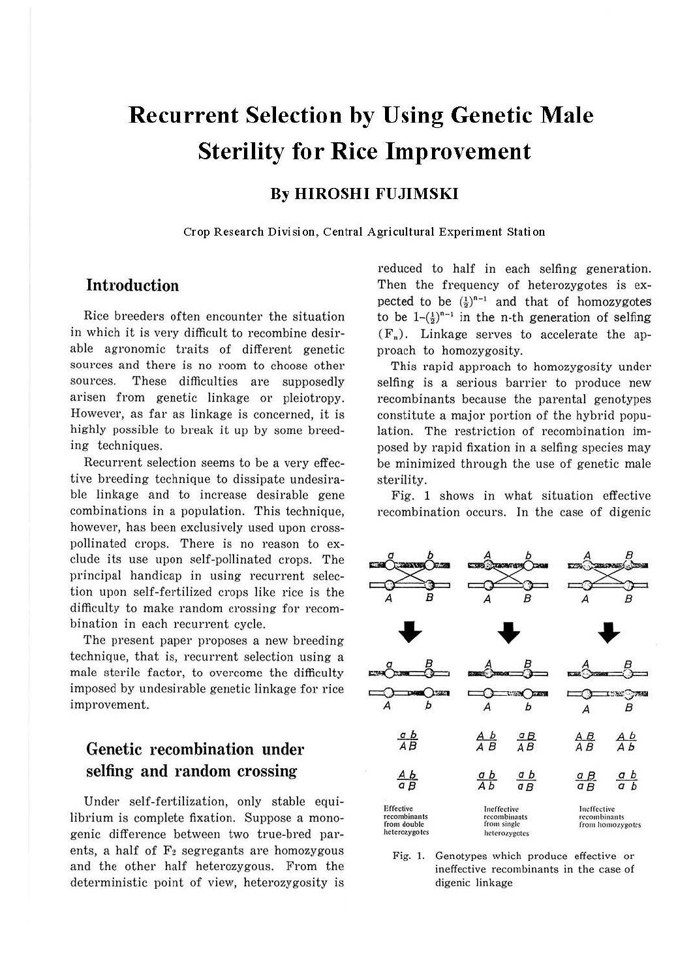# **Recurrent Selection by Using Genetic Male Sterility for Rice Improvement**

## **By HIROSHI FUJIMSKI**

**Crop Research Division, Central Agricultural Experiment Station** 

### **Introduction**

Rice breeders often encounter the situation in which it is very difficult to recombine desirable agronomic traits of different genetic sources and there is no room to choose other sources. These difficulties are supposedly arisen from genetic linkage or pleiotropy. However, as far as linkage is concerned, it is highly possible to break it up by some breeding techniques.

Recurrent selection seems to be a very effective breeding technique to dissipate undesirable linkage and to increase desirable gene combinations in a population. This technique, however, has been exclusively used upon crosspollinated crops. There is no reason to exclude its use upon self-pollinated crops. The principal handicap in using recurrent selection upon self-fertilized crops like rice is the difficulty to make random crossing for recombination in each recurrent cycle.

The present paper proposes a new breeding technique, that is, recurrent selection using a male sterile factor, to overcome the difficulty imposed by undesirable genetic linkage for rice improvement.

## **Genetic recombination under selfing and random crossing**

Under self-fertilization, only stable equilibrium is complete fixation. Suppose a monogenie difference between two true-bred parents, a half of  $F_2$  segregants are homozygous and the other half heterozygous. From the deterministic point of view, heterozygosity is reduced to half in each selfing generation. Then the frequency of heterozygotes is expected to be  $(\frac{1}{2})^{n-1}$  and that of homozygotes to be  $1-(\frac{1}{2})^{n-1}$  in the n-th generation of selfing  $(F_n)$ . Linkage serves to accelerate the approach to homozygosity.

This rapid approach to homozygosity under selfing is a serious barrier to produce new recombinants because the parental genotypes constitute a major portion of the hybrid population. The restriction of recombination imposed by rapid fixation in a selfing species may be minimized through the use of genetic male sterility.

Fig. 1 shows in what situation effective



Fig. I. Genotypes which produce effective or ineffective recombinants in the case of digenic linkage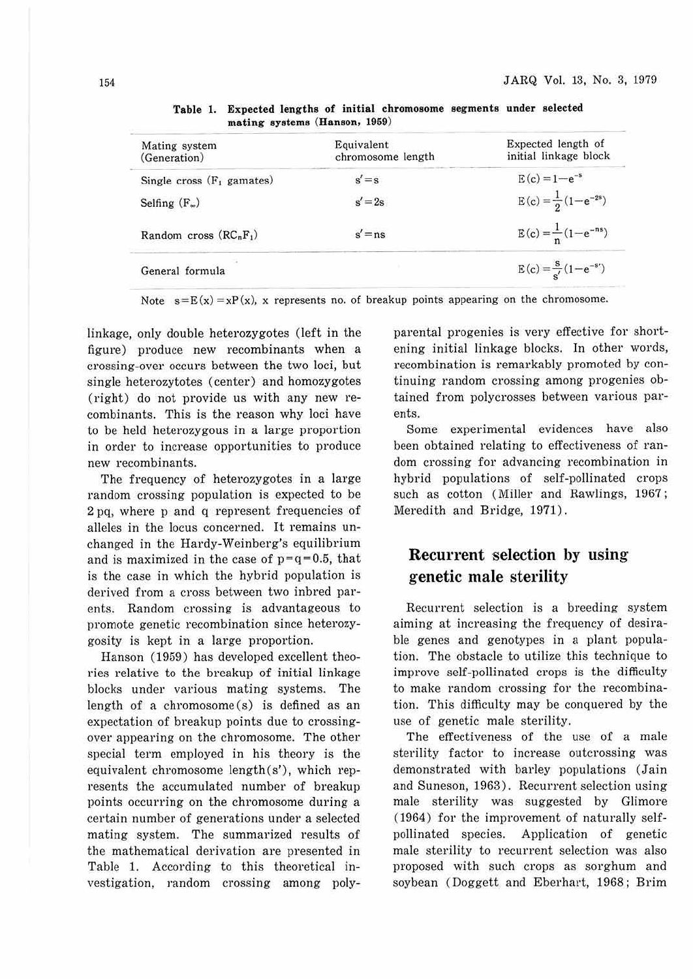| Equivalent<br>chromosome length | Expected length of<br>initial linkage block |
|---------------------------------|---------------------------------------------|
| $s' = s$                        | $E(c) = 1 - e^{-s}$                         |
| $s' = 2s$                       | $E(c) = \frac{1}{2}(1-e^{-2s})$             |
| $s' = ns$                       | $E(c) = \frac{1}{n}(1-e^{-ns})$             |
|                                 | $E(c) = \frac{s}{s'}(1-e^{-s'})$            |
|                                 |                                             |

**Table 1. Expected lengths of initial chromosome segments under selected mating systems (Hanson, 1959)** 

Note  $s = E(x) = xP(x)$ , x represents no. of breakup points appearing on the chromosome.

linkage, only double heterozygotes (left in the figure) produce new recombinants when a crossing-over occurs between the two loci, but single heterozytotes (center) and homozygotes (right) do not provide us with any new recombinants. This is the reason why loci have to be held heterozygous in a large proportion in order to increase opportunities to produce new recombinants.

The frequency of heterozygotes in a large random crossing population is expected to be 2 pq, where p and q represent frequencies of alleles in the locus concerned. It remains unchanged in the Hardy-Weinberg's equilibrium and is maximized in the case of  $p=q=0.5$ , that is the case in which the hybrid population is derived from a cross between two inbred parents. Random crossing is advantageous to promote genetic recombination since heterozygosity is kept in a large proportion.

Hanson (1959) has developed excellent theories relative to the breakup of initial linkage blocks under various mating systems. The length of a chromosome (s) is defined as an expectation of breakup points due to crossingover appearing on the chromosome. The other special term employed in his theory is the equivalent chromosome length(s'), which represents the accumulated number of breakup points occurring on the chromosome during a certain number of generations under a selected mating system. The summarized results of the mathematical derivation are presented in Table 1. According to this theoretical investigation, random crossing among polyparental progenies is very effective for shortening initial linkage blocks. In other words, recombination is remarkably promoted by continuing random crossing among progenies obtained from polycrosses between various parents.

Some experimental evidences have also been obtained relating to effectiveness of random crossing for advancing recombination in hybrid populations of self-pollinated crops such as cotton (Miller and Rawlings, 1967; Meredith and Bridge, 1971).

# Recurrent selection by using genetic male sterility

Recurrent selection is a breeding system aiming at increasing the frequency of desirable genes and genotypes in a plant population. The obstacle to utilize this technique to improve self-pollinated crops is the difficulty to make random crossing for the recombination. This difficulty may be conquered by the use of genetic male sterility.

The effectiveness of the use of a male sterility factor to increase outcrossing was demonstrated with barley populations (Jain and Suneson, 1963). Recurrent selection using male sterility was suggested by Glimore (1964) for the improvement of naturally selfpollinated species. Application of genetic male sterility to recurrent selection was also proposed with such crops as sorghum and soybean (Doggett and Eberhart, 1968; Brim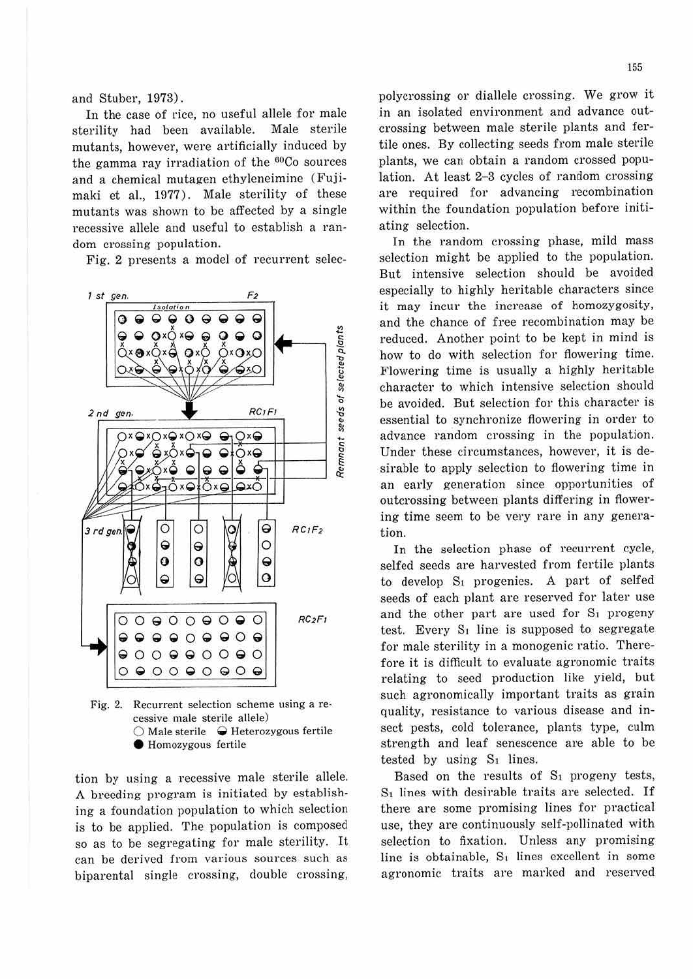and Stuber, 1973).

In the case of rice, no useful allele for male sterility had been available. Male sterile mutants, however, were artificially induced by the gamma ray irradiation of the <sup>60</sup>Co sources and a chemical mutagen ethyleneimine (Fujimaki et al., 1977). Male sterility of these mutants was shown to be affected by a single recessive allele and useful to establish a random crossing population.

Fig. 2 presents a model of recurrent selec-



Fig. 2. Recurrent selection scheme using a recessive male sterile allele) 0 Male sterile **Q** Heterozygous fertile **e** Homozygous fertile

tion by using a recessive male sterile allele. A breeding program is initiated by establishing a foundation population to which selection is to be applied. The population is composed so as to be segregating for male sterility. It can be derived from various sources such as biparental single crossing, double crossing, polycrossing or diallele crossing. We grow it in an isolated environment and advance outcrossing between male sterile plants and fertile ones. By collecting seeds from male sterile plants, we can obtain a random crossed population. At least  $2-3$  cycles of random crossing are required for advancing recombination within the foundation population before initiating selection.

In the random crossing phase, mild mass selection might be applied to the population. But intensive selection should be avoided especially to highly heritable characters since it may incur the increase of homozygosity, and the chance of free recombination may be reduced. Another point to be kept in mind is how to do with selection for flowering time. Flowering time is usually a highly heritable character to which intensive selection should be avoided. But selection for this character is essential to synchronize flowering in order to advance random crossing in the population. Under these circumstances, however, it is desirable to apply selection to flowering time in an early generation since opportunities of outcrossing between plants differing in flowering time seem to be very rare in any generation.

In the selection phase of recurrent cycle, selfed seeds are harvested from fertile plants to develop  $S_1$  progenies. A part of selfed seeds of each plant are reserved for later use and the other part are used for  $S_1$  progeny test. Every  $S_1$  line is supposed to segregate for male sterility in a monogenic ratio. Therefore it is difficult to evaluate agronomic traits relating to seed production like yield, but such agronomically important traits as grain quality, resistance to various disease and insect pests, cold tolerance, plants type, culm strength and leaf senescence are able to be tested by using  $S_1$  lines.

Based on the results of  $S_1$  progeny tests, S1 lines with desirable traits are selected. If there are some promising lines for practical use, they are continuously self-pollinated with selection to fixation. Unless any promising line is obtainable,  $S_1$  lines excellent in some agronomic traits are marked and reserved